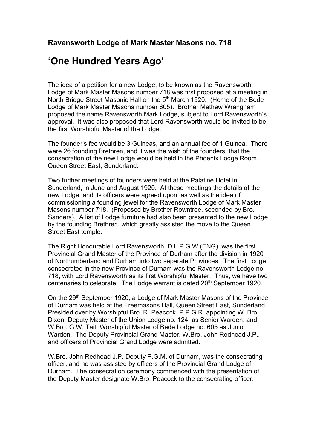## 'One Hundred Years Ago'

The idea of a petition for a new Lodge, to be known as the Ravensworth Lodge of Mark Master Masons number 718 was first proposed at a meeting in North Bridge Street Masonic Hall on the 5<sup>th</sup> March 1920. (Home of the Bede Lodge of Mark Master Masons number 605). Brother Mathew Wrangham proposed the name Ravensworth Mark Lodge, subject to Lord Ravensworth's approval. It was also proposed that Lord Ravensworth would be invited to be the first Worshipful Master of the Lodge.

The founder's fee would be 3 Guineas, and an annual fee of 1 Guinea. There were 26 founding Brethren, and it was the wish of the founders, that the consecration of the new Lodge would be held in the Phoenix Lodge Room, Queen Street East, Sunderland.

Two further meetings of founders were held at the Palatine Hotel in Sunderland, in June and August 1920. At these meetings the details of the new Lodge, and its officers were agreed upon, as well as the idea of commissioning a founding jewel for the Ravensworth Lodge of Mark Master Masons number 718. (Proposed by Brother Rowntree, seconded by Bro. Sanders). A list of Lodge furniture had also been presented to the new Lodge by the founding Brethren, which greatly assisted the move to the Queen Street East temple.

The Right Honourable Lord Ravensworth, D.L P.G.W (ENG), was the first Provincial Grand Master of the Province of Durham after the division in 1920 of Northumberland and Durham into two separate Provinces. The first Lodge consecrated in the new Province of Durham was the Ravensworth Lodge no. 718, with Lord Ravensworth as its first Worshipful Master. Thus, we have two centenaries to celebrate. The Lodge warrant is dated 20<sup>th</sup> September 1920.

On the 29<sup>th</sup> September 1920, a Lodge of Mark Master Masons of the Province of Durham was held at the Freemasons Hall, Queen Street East, Sunderland. Presided over by Worshipful Bro. R. Peacock, P.P.G.R. appointing W. Bro. Dixon, Deputy Master of the Union Lodge no. 124, as Senior Warden, and W.Bro. G.W. Tait, Worshipful Master of Bede Lodge no. 605 as Junior Warden. The Deputy Provincial Grand Master, W.Bro. John Redhead J.P., and officers of Provincial Grand Lodge were admitted.

W.Bro. John Redhead J.P. Deputy P.G.M. of Durham, was the consecrating officer, and he was assisted by officers of the Provincial Grand Lodge of Durham. The consecration ceremony commenced with the presentation of the Deputy Master designate W.Bro. Peacock to the consecrating officer.